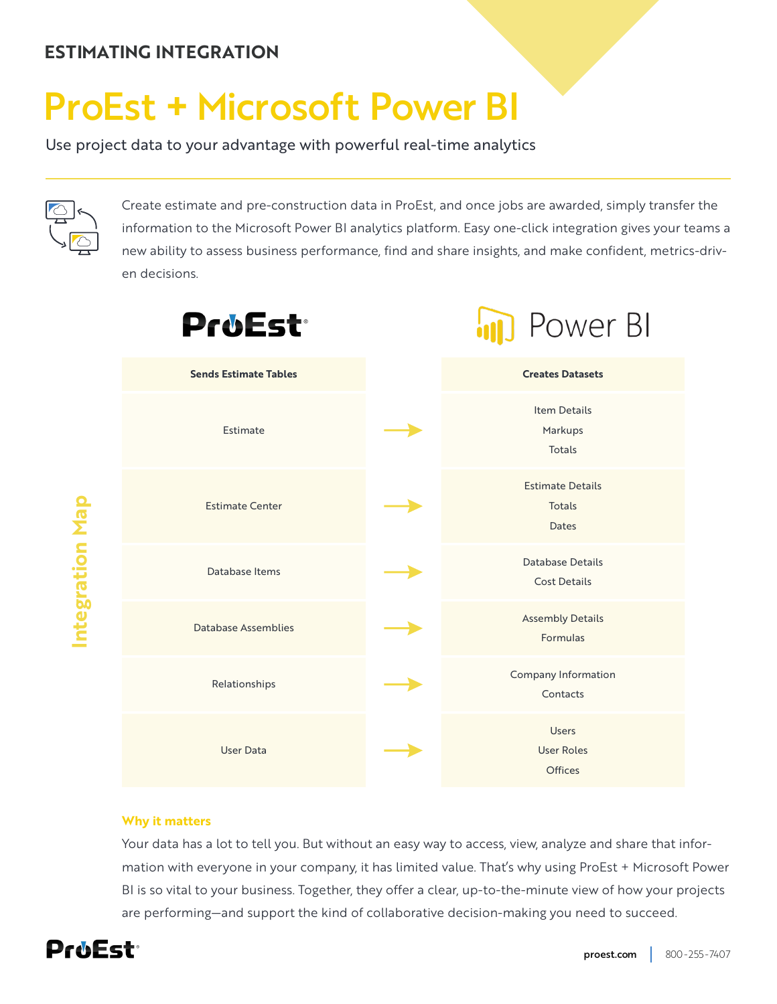# **ESTIMATING INTEGRATION**

# ProEst **+** Microsoft Power BI

Use project data to your advantage with powerful real-time analytics



**Integration Map**

ntegration Map

Create estimate and pre-construction data in ProEst, and once jobs are awarded, simply transfer the information to the Microsoft Power BI analytics platform. Easy one-click integration gives your teams a new ability to assess business performance, find and share insights, and make confident, metrics-driven decisions.



#### **Why it matters**

Your data has a lot to tell you. But without an easy way to access, view, analyze and share that information with everyone in your company, it has limited value. That's why using ProEst + Microsoft Power BI is so vital to your business. Together, they offer a clear, up-to-the-minute view of how your projects are performing—and support the kind of collaborative decision-making you need to succeed.